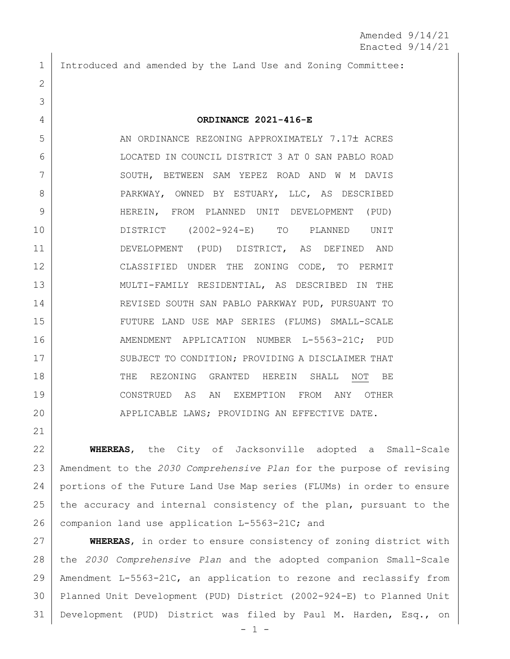Introduced and amended by the Land Use and Zoning Committee:

## **ORDINANCE 2021-416-E**

5 AN ORDINANCE REZONING APPROXIMATELY 7.17± ACRES LOCATED IN COUNCIL DISTRICT 3 AT 0 SAN PABLO ROAD SOUTH, BETWEEN SAM YEPEZ ROAD AND W M DAVIS 8 PARKWAY, OWNED BY ESTUARY, LLC, AS DESCRIBED HEREIN, FROM PLANNED UNIT DEVELOPMENT (PUD) DISTRICT (2002-924-E) TO PLANNED UNIT DEVELOPMENT (PUD) DISTRICT, AS DEFINED AND CLASSIFIED UNDER THE ZONING CODE, TO PERMIT MULTI-FAMILY RESIDENTIAL, AS DESCRIBED IN THE REVISED SOUTH SAN PABLO PARKWAY PUD, PURSUANT TO FUTURE LAND USE MAP SERIES (FLUMS) SMALL-SCALE 16 | AMENDMENT APPLICATION NUMBER L-5563-21C; PUD 17 SUBJECT TO CONDITION; PROVIDING A DISCLAIMER THAT 18 THE REZONING GRANTED HEREIN SHALL NOT BE CONSTRUED AS AN EXEMPTION FROM ANY OTHER APPLICABLE LAWS; PROVIDING AN EFFECTIVE DATE.

 **WHEREAS**, the City of Jacksonville adopted a Small-Scale Amendment to the *2030 Comprehensive Plan* for the purpose of revising portions of the Future Land Use Map series (FLUMs) in order to ensure 25 the accuracy and internal consistency of the plan, pursuant to the 26 companion land use application L-5563-21C; and

 **WHEREAS**, in order to ensure consistency of zoning district with the *2030 Comprehensive Plan* and the adopted companion Small-Scale Amendment L-5563-21C, an application to rezone and reclassify from Planned Unit Development (PUD) District (2002-924-E) to Planned Unit Development (PUD) District was filed by Paul M. Harden, Esq., on

- 1 -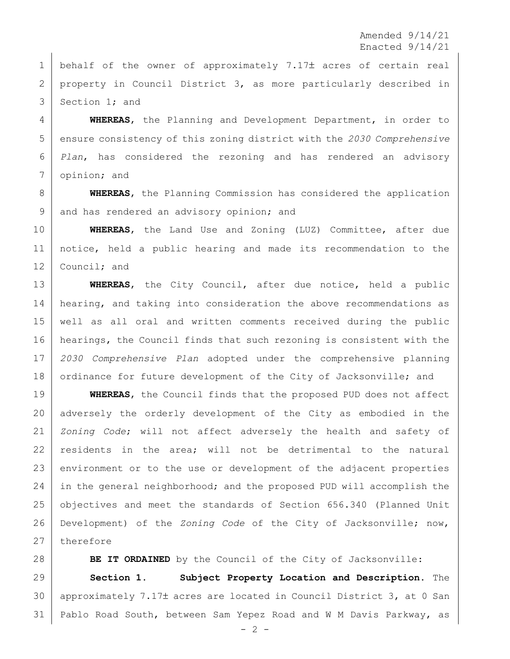Amended 9/14/21 Enacted 9/14/21

1 behalf of the owner of approximately 7.17 $\pm$  acres of certain real 2 | property in Council District 3, as more particularly described in 3 Section 1: and

 **WHEREAS**, the Planning and Development Department, in order to ensure consistency of this zoning district with the *2030 Comprehensive Plan*, has considered the rezoning and has rendered an advisory opinion; and

 **WHEREAS**, the Planning Commission has considered the application 9 and has rendered an advisory opinion; and

 **WHEREAS**, the Land Use and Zoning (LUZ) Committee, after due notice, held a public hearing and made its recommendation to the 12 Council; and

 **WHEREAS**, the City Council, after due notice, held a public 14 hearing, and taking into consideration the above recommendations as well as all oral and written comments received during the public hearings, the Council finds that such rezoning is consistent with the *2030 Comprehensive Plan* adopted under the comprehensive planning 18 ordinance for future development of the City of Jacksonville; and

 **WHEREAS**, the Council finds that the proposed PUD does not affect adversely the orderly development of the City as embodied in the *Zoning Code*; will not affect adversely the health and safety of residents in the area; will not be detrimental to the natural 23 environment or to the use or development of the adjacent properties in the general neighborhood; and the proposed PUD will accomplish the 25 | objectives and meet the standards of Section 656.340 (Planned Unit Development) of the *Zoning Code* of the City of Jacksonville; now, therefore

**BE IT ORDAINED** by the Council of the City of Jacksonville: **Section 1. Subject Property Location and Description.** The 30 | approximately 7.17 $\pm$  acres are located in Council District 3, at 0 San Pablo Road South, between Sam Yepez Road and W M Davis Parkway, as

 $- 2 -$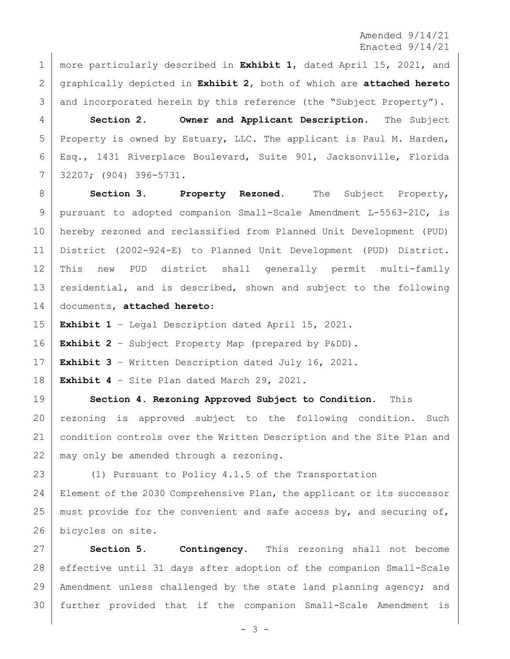Amended 9/14/21 Enacted 9/14/21

 more particularly described in **Exhibit 1**, dated April 15, 2021, and graphically depicted in **Exhibit 2**, both of which are **attached hereto** 3 and incorporated herein by this reference (the "Subject Property").

 **Section 2. Owner and Applicant Description.** The Subject 5 Property is owned by Estuary, LLC. The applicant is Paul M. Harden, Esq., 1431 Riverplace Boulevard, Suite 901, Jacksonville, Florida 32207; (904) 396-5731.

8 Section 3. **Property Rezoned.** The Subject Property, pursuant to adopted companion Small-Scale Amendment L-5563-21C, is hereby rezoned and reclassified from Planned Unit Development (PUD) District (2002-924-E) to Planned Unit Development (PUD) District. This new PUD district shall generally permit multi-family 13 residential, and is described, shown and subject to the following documents, **attached hereto**:

**Exhibit 1** – Legal Description dated April 15, 2021.

**Exhibit 2** – Subject Property Map (prepared by P&DD).

**Exhibit 3** – Written Description dated July 16, 2021.

**Exhibit 4** – Site Plan dated March 29, 2021.

 **Section 4. Rezoning Approved Subject to Condition.** This rezoning is approved subject to the following condition. Such condition controls over the Written Description and the Site Plan and 22 | may only be amended through a rezoning.

 (1) Pursuant to Policy 4.1.5 of the Transportation Element of the 2030 Comprehensive Plan, the applicant or its successor 25 | must provide for the convenient and safe access by, and securing of, bicycles on site.

 **Section 5. Contingency.** This rezoning shall not become effective until 31 days after adoption of the companion Small-Scale Amendment unless challenged by the state land planning agency; and further provided that if the companion Small-Scale Amendment is